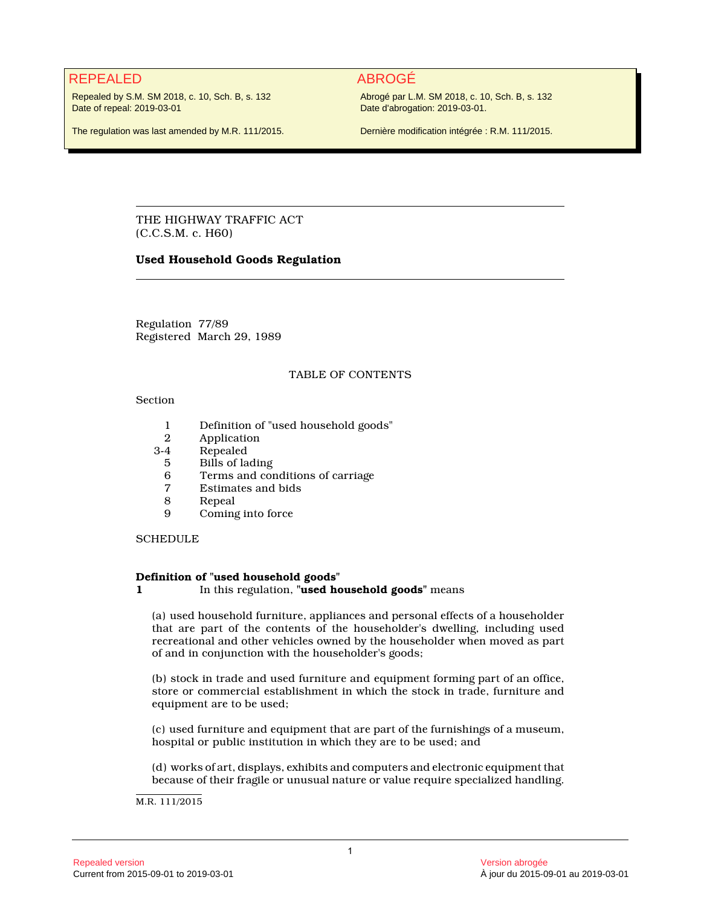# REPEALED ABROGÉ

Repealed by S.M. SM 2018, c. 10, Sch. B, s. 132 Date of repeal: 2019-03-01

The regulation was last amended by M.R. 111/2015.

Abrogé par L.M. SM 2018, c. 10, Sch. B, s. 132 Date d'abrogation: 2019-03-01.

Dernière modification intégrée : R.M. 111/2015.

THE HIGHWAY TRAFFIC ACT (C.C.S.M. c. H60)

# **Used Household Goods Regulation**

Regulation 77/89 Registered March 29, 1989

# TABLE OF CONTENTS

# Section

- 1 Definition of "used household goods"
- 2 Application
- 3-4 Repealed
- 5 Bills of lading<br>6 Terms and con
- 6 Terms and conditions of carriage<br>7 Estimates and bids
- Estimates and bids
- 8 Repeal
- 9 Coming into force

# **SCHEDULE**

# **Definition of "used household goods"**

# **1** In this regulation, **"used household goods"** means

(a) used household furniture, appliances and personal effects of a householder that are part of the contents of the householder's dwelling, including used recreational and other vehicles owned by the householder when moved as part of and in conjunction with the householder's goods;

(b) stock in trade and used furniture and equipment forming part of an office, store or commercial establishment in which the stock in trade, furniture and equipment are to be used;

(c) used furniture and equipment that are part of the furnishings of a museum, hospital or public institution in which they are to be used; and

(d) works of art, displays, exhibits and computers and electronic equipment that because of their fragile or unusual nature or value require specialized handling.

M.R. 111/2015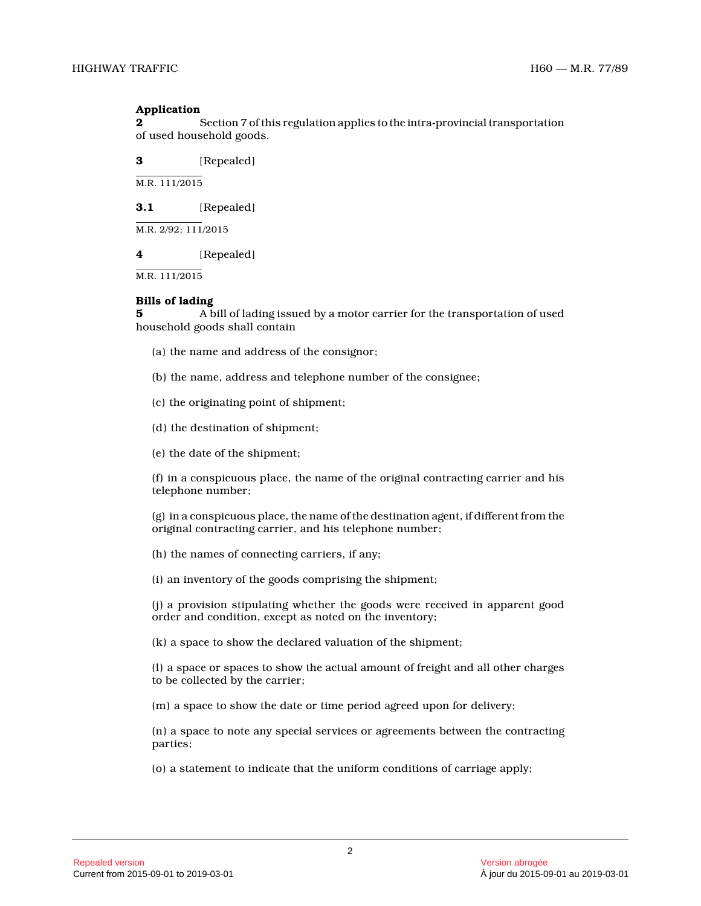## **Application**

**2** Section 7 of this regulation applies to the intra-provincial transportation of used household goods.

**3** [Repealed]

M.R. 111/2015

**3.1** [Repealed]

M.R. 2/92; 111/2015

**4** [Repealed]

M.R. 111/2015

# **Bills of lading**

**5** A bill of lading issued by a motor carrier for the transportation of used household goods shall contain

- (a) the name and address of the consignor;
- (b) the name, address and telephone number of the consignee;
- (c) the originating point of shipment;
- (d) the destination of shipment;
- (e) the date of the shipment;

(f) in a conspicuous place, the name of the original contracting carrier and his telephone number;

(g) in a conspicuous place, the name of the destination agent, if different from the original contracting carrier, and his telephone number;

(h) the names of connecting carriers, if any;

(i) an inventory of the goods comprising the shipment;

(j) a provision stipulating whether the goods were received in apparent good order and condition, except as noted on the inventory;

(k) a space to show the declared valuation of the shipment;

(l) a space or spaces to show the actual amount of freight and all other charges to be collected by the carrier;

(m) a space to show the date or time period agreed upon for delivery;

(n) a space to note any special services or agreements between the contracting parties;

(o) a statement to indicate that the uniform conditions of carriage apply;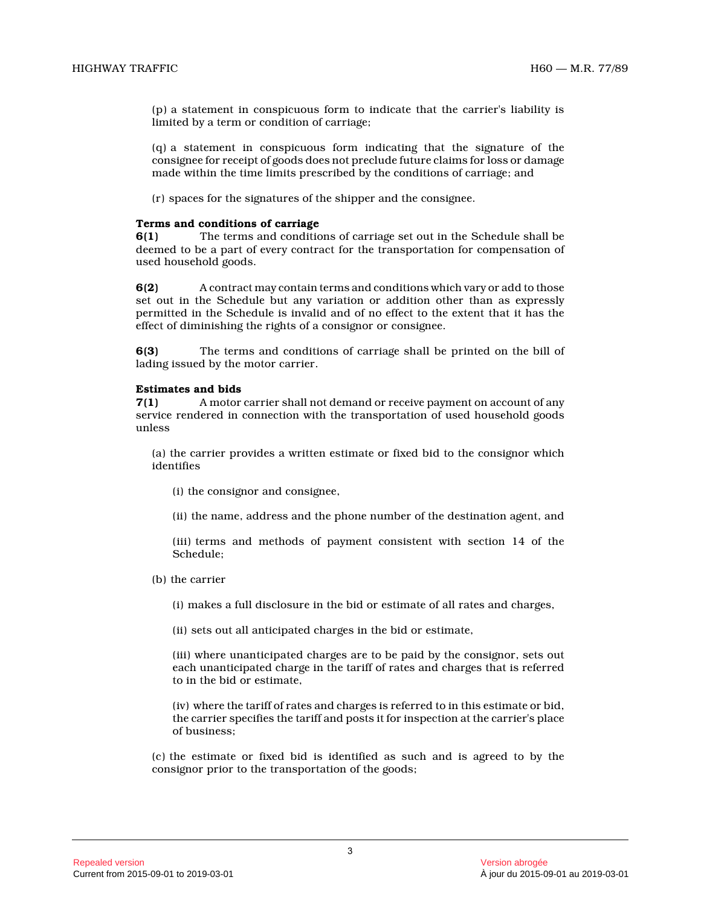(p) a statement in conspicuous form to indicate that the carrier's liability is limited by a term or condition of carriage;

(q) a statement in conspicuous form indicating that the signature of the consignee for receipt of goods does not preclude future claims for loss or damage made within the time limits prescribed by the conditions of carriage; and

(r) spaces for the signatures of the shipper and the consignee.

#### **Terms and conditions of carriage**

**6(1)** The terms and conditions of carriage set out in the Schedule shall be deemed to be a part of every contract for the transportation for compensation of used household goods.

**6(2)** A contract may contain terms and conditions which vary or add to those set out in the Schedule but any variation or addition other than as expressly permitted in the Schedule is invalid and of no effect to the extent that it has the effect of diminishing the rights of a consignor or consignee.

**6(3)** The terms and conditions of carriage shall be printed on the bill of lading issued by the motor carrier.

#### **Estimates and bids**

**7(1)** A motor carrier shall not demand or receive payment on account of any service rendered in connection with the transportation of used household goods unless

(a) the carrier provides a written estimate or fixed bid to the consignor which identifies

(i) the consignor and consignee,

(ii) the name, address and the phone number of the destination agent, and

(iii) terms and methods of payment consistent with section 14 of the Schedule;

(b) the carrier

(i) makes a full disclosure in the bid or estimate of all rates and charges,

(ii) sets out all anticipated charges in the bid or estimate,

(iii) where unanticipated charges are to be paid by the consignor, sets out each unanticipated charge in the tariff of rates and charges that is referred to in the bid or estimate,

(iv) where the tariff of rates and charges is referred to in this estimate or bid, the carrier specifies the tariff and posts it for inspection at the carrier's place of business;

(c) the estimate or fixed bid is identified as such and is agreed to by the consignor prior to the transportation of the goods;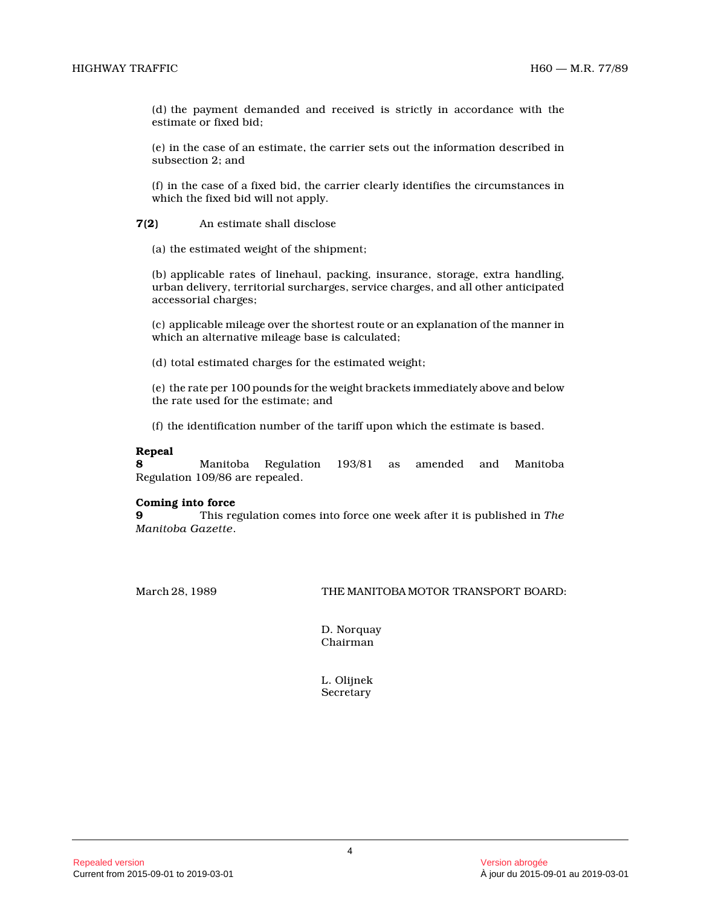(d) the payment demanded and received is strictly in accordance with the estimate or fixed bid;

(e) in the case of an estimate, the carrier sets out the information described in subsection 2; and

(f) in the case of a fixed bid, the carrier clearly identifies the circumstances in which the fixed bid will not apply.

**7(2)** An estimate shall disclose

(a) the estimated weight of the shipment;

(b) applicable rates of linehaul, packing, insurance, storage, extra handling, urban delivery, territorial surcharges, service charges, and all other anticipated accessorial charges;

(c) applicable mileage over the shortest route or an explanation of the manner in which an alternative mileage base is calculated;

(d) total estimated charges for the estimated weight ;

(e) the rate per 100 pounds for the weight brackets immediately above and below the rate used for the estimate; and

(f) the identification number of the tariff upon which the estimate is based.

#### **Repeal**

**8** Manitoba Regulation 193/81 as amended and Manitoba Regulation 109/86 are repealed.

## **Coming into force**

**9** This regulation comes into force one week after it is published in *The Manitoba Gazette* .

March 28, 1989 THE MANITOBA MOTOR TRANSPORT BOARD:

D. Norquay Chairman

L. Olijnek Secretary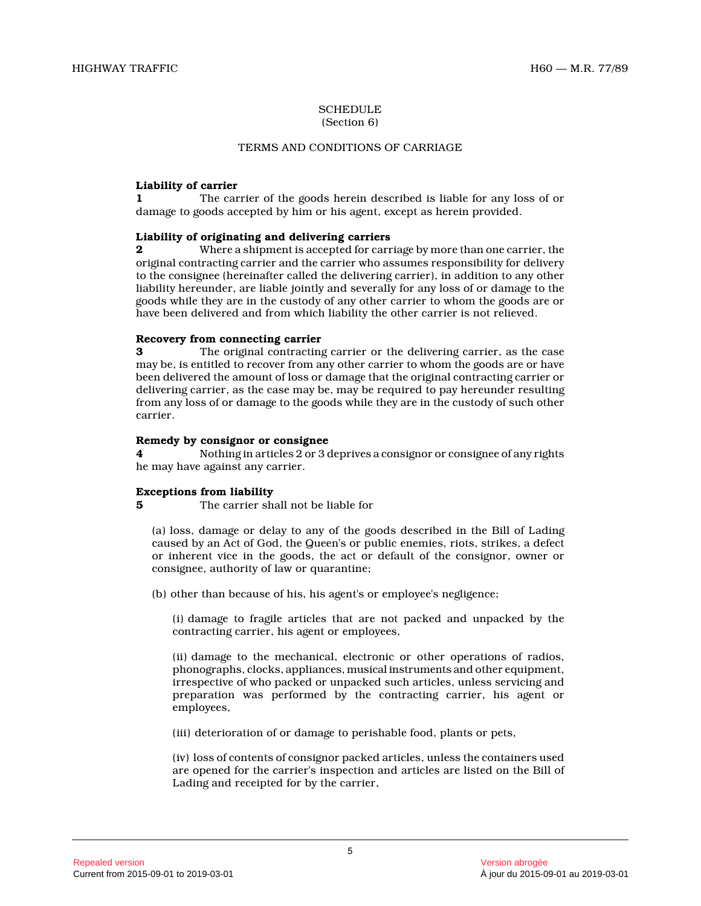#### **SCHEDULE** (Section 6)

# TERMS AND CONDITIONS OF CARRIAGE

# **Liability of carrier**

**1** The carrier of the goods herein described is liable for any loss of or damage to goods accepted by him or his agent, except as herein provided.

# **Liability of originating and delivering carriers**

**2** Where a shipment is accepted for carriage by more than one carrier, the original contracting carrier and the carrier who assumes responsibility for delivery to the consignee (hereinafter called the delivering carrier), in addition to any other liability hereunder, are liable jointly and severally for any loss of or damage to the goods while they are in the custody of any other carrier to whom the goods are or have been delivered and from which liability the other carrier is not relieved.

# **Recovery from connecting carrier**

**3** The original contracting carrier or the delivering carrier, as the case may be, is entitled to recover from any other carrier to whom the goods are or have been delivered the amount of loss or damage that the original contracting carrier or delivering carrier, as the case may be, may be required to pay hereunder resulting from any loss of or damage to the goods while they are in the custody of such other carrier.

# **Remedy by consignor or consignee**

**4** Nothing in articles 2 or 3 deprives a consignor or consignee of any rights he may have against any carrier.

## **Exceptions from liability**

**5** The carrier shall not be liable for

(a) loss, damage or delay to any of the goods described in the Bill of Lading caused by an Act of God, the Queen's or public enemies, riots, strikes, a defect or inherent vice in the goods, the act or default of the consignor, owner or consignee, authority of law or quarantine;

(b) other than because of his, his agent's or employee's negligence;

(i) damage to fragile articles that are not packed and unpacked by the contracting carrier, his agent or employees,

(ii) damage to the mechanical, electronic or other operations of radios, phonographs, clocks, appliances, musical instruments and other equipment, irrespective of who packed or unpacked such articles, unless servicing and preparation was performed by the contracting carrier, his agent or employees,

(iii) deterioration of or damage to perishable food, plants or pets,

(iv) loss of contents of consignor packed articles, unless the containers used are opened for the carrier's inspection and articles are listed on the Bill of Lading and receipted for by the carrier,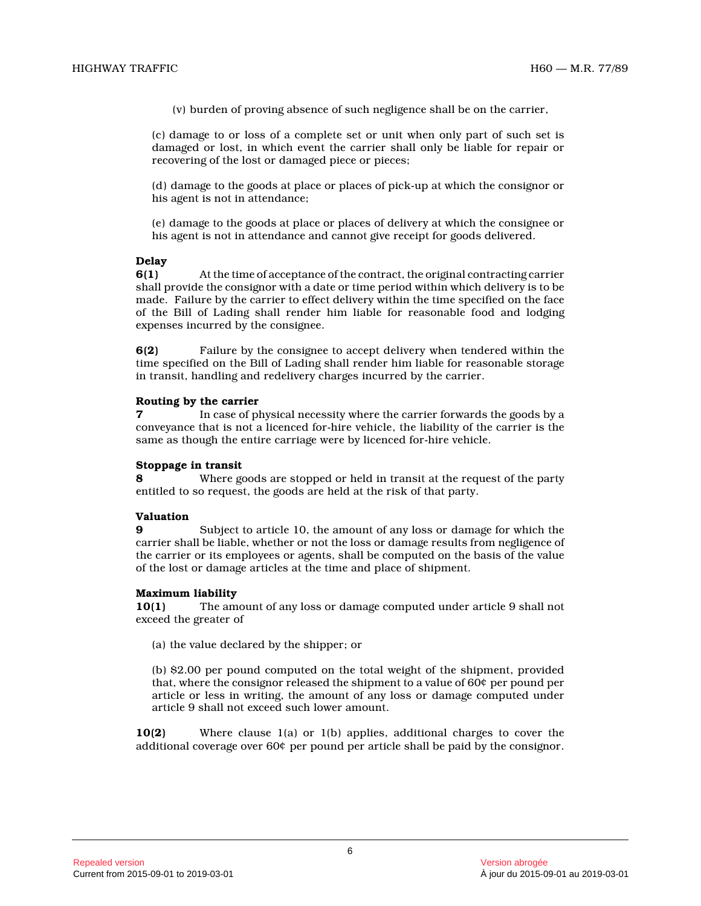(v) burden of proving absence of such negligence shall be on the carrier,

(c) damage to or loss of a complete set or unit when only part of such set is damaged or lost, in which event the carrier shall only be liable for repair or recovering of the lost or damaged piece or pieces;

(d) damage to the goods at place or places of pick-up at which the consignor or his agent is not in attendance;

(e) damage to the goods at place or places of delivery at which the consignee or his agent is not in attendance and cannot give receipt for goods delivered.

# **Delay**

**6(1)** At the time of acceptance of the contract, the original contracting carrier shall provide the consignor with a date or time period within which delivery is to be made. Failure by the carrier to effect delivery within the time specified on the face of the Bill of Lading shall render him liable for reasonable food and lodging expenses incurred by the consignee.

**6(2)** Failure by the consignee to accept delivery when tendered within the time specified on the Bill of Lading shall render him liable for reasonable storage in transit, handling and redelivery charges incurred by the carrier.

## **Routing by the carrier**

**7** In case of physical necessity where the carrier forwards the goods by a conveyance that is not a licenced for-hire vehicle, the liability of the carrier is the same as though the entire carriage were by licenced for-hire vehicle.

## **Stoppage in transit**

**8** Where goods are stopped or held in transit at the request of the party entitled to so request, the goods are held at the risk of that party.

# **Valuation**

**9** Subject to article 10, the amount of any loss or damage for which the carrier shall be liable, whether or not the loss or damage results from negligence of the carrier or its employees or agents, shall be computed on the basis of the value of the lost or damage articles at the time and place of shipment.

# **Maximum liability**

**10(1)** The amount of any loss or damage computed under article 9 shall not exceed the greater of

(a) the value declared by the shipper; or

(b) \$2.00 per pound computed on the total weight of the shipment, provided that, where the consignor released the shipment to a value of 60¢ per pound per article or less in writing, the amount of any loss or damage computed under article 9 shall not exceed such lower amount.

**10(2)** Where clause 1(a) or 1(b) applies, additional charges to cover the additional coverage over 60¢ per pound per article shall be paid by the consignor.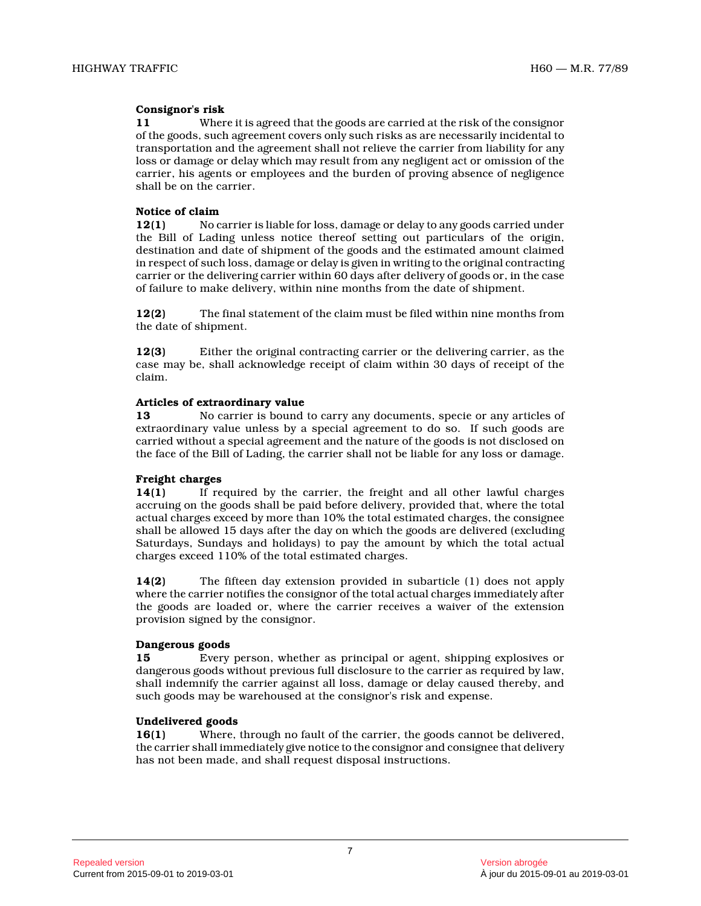# **Consignor's risk**

**11** Where it is agreed that the goods are carried at the risk of the consignor of the goods, such agreement covers only such risks as are necessarily incidental to transportation and the agreement shall not relieve the carrier from liability for any loss or damage or delay which may result from any negligent act or omission of the carrier, his agents or employees and the burden of proving absence of negligence shall be on the carrier.

## **Notice of claim**

**12(1)** No carrier is liable for loss, damage or delay to any goods carried under the Bill of Lading unless notice thereof setting out particulars of the origin, destination and date of shipment of the goods and the estimated amount claimed in respect of such loss, damage or delay is given in writing to the original contracting carrier or the delivering carrier within 60 days after delivery of goods or, in the case of failure to make delivery, within nine months from the date of shipment.

**12(2)** The final statement of the claim must be filed within nine months from the date of shipment.

**12(3)** Either the original contracting carrier or the delivering carrier, as the case may be, shall acknowledge receipt of claim within 30 days of receipt of the claim.

# **Articles of extraordinary value**

**13** No carrier is bound to carry any documents, specie or any articles of extraordinary value unless by a special agreement to do so. If such goods are carried without a special agreement and the nature of the goods is not disclosed on the face of the Bill of Lading, the carrier shall not be liable for any loss or damage.

# **Freight charges**

**14(1)** If required by the carrier, the freight and all other lawful charges accruing on the goods shall be paid before delivery, provided that, where the total actual charges exceed by more than 10% the total estimated charges, the consignee shall be allowed 15 days after the day on which the goods are delivered (excluding Saturdays, Sundays and holidays) to pay the amount by which the total actual charges exceed 110% of the total estimated charges.

**14(2)** The fifteen day extension provided in subarticle (1) does not apply where the carrier notifies the consignor of the total actual charges immediately after the goods are loaded or, where the carrier receives a waiver of the extension provision signed by the consignor.

## **Dangerous goods**

**15** Every person, whether as principal or agent, shipping explosives or dangerous goods without previous full disclosure to the carrier as required by law, shall indemnify the carrier against all loss, damage or delay caused thereby, and such goods may be warehoused at the consignor's risk and expense.

## **Undelivered goods**

**16(1)** Where, through no fault of the carrier, the goods cannot be delivered, the carrier shall immediately give notice to the consignor and consignee that delivery has not been made, and shall request disposal instructions.